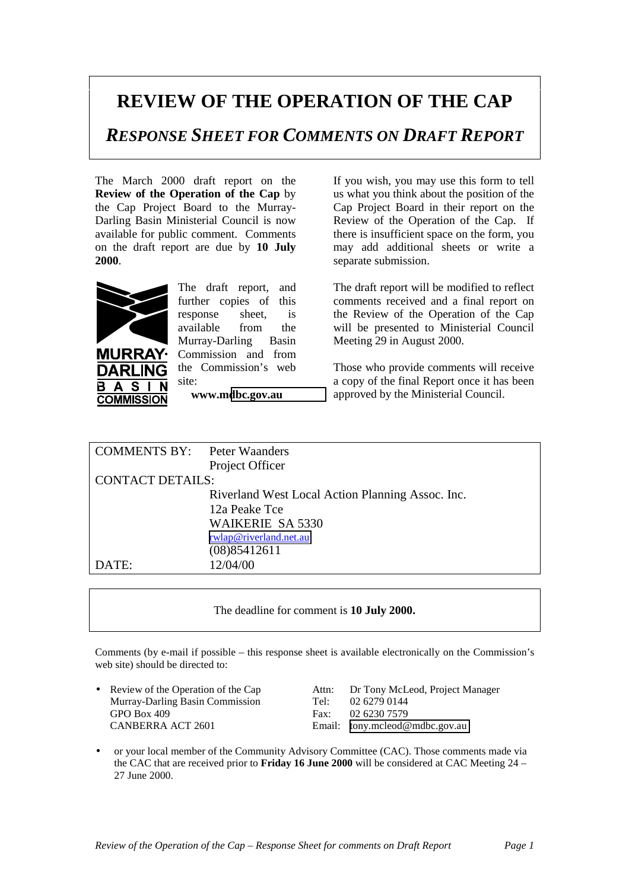## **REVIEW OF THE OPERATION OF THE CAP**

*RESPONSE SHEET FOR COMMENTS ON DRAFT REPORT*

The March 2000 draft report on the **Review of the Operation of the Cap** by the Cap Project Board to the Murray-Darling Basin Ministerial Council is now available for public comment. Comments on the draft report are due by **10 July 2000**.



S **COMMISSION**  The draft report, and further copies of this response sheet, is available from the Murray-Darling Basin Commission and from the Commission's web site:

**www.m[dbc.gov.au](http://www.mdbc.gov.au/)**

If you wish, you may use this form to tell us what you think about the position of the Cap Project Board in their report on the Review of the Operation of the Cap. If there is insufficient space on the form, you may add additional sheets or write a separate submission.

The draft report will be modified to reflect comments received and a final report on the Review of the Operation of the Cap will be presented to Ministerial Council Meeting 29 in August 2000.

Those who provide comments will receive a copy of the final Report once it has been approved by the Ministerial Council.

| <b>COMMENTS BY:</b> Peter Waanders |                                                  |  |
|------------------------------------|--------------------------------------------------|--|
|                                    | Project Officer                                  |  |
| <b>CONTACT DETAILS:</b>            |                                                  |  |
|                                    | Riverland West Local Action Planning Assoc. Inc. |  |
|                                    | 12a Peake Tce                                    |  |
|                                    | <b>WAIKERIE SA 5330</b>                          |  |
|                                    | rwlap@riverland.net.au                           |  |
|                                    | (08)85412611                                     |  |
| DATE:                              | 12/04/00                                         |  |
|                                    |                                                  |  |

The deadline for comment is **10 July 2000.**

Comments (by e-mail if possible – this response sheet is available electronically on the Commission's web site) should be directed to:

Murray-Darling Basin Commission Tel: 02 6279 0144 GPO Box 409 Fax: 02 6230 7579 CANBERRA ACT 2601 Email: [tony.mcleod@mdbc.gov.au](mailto:tony.mcleod@mdbc.gov.au)

• Review of the Operation of the Cap Attn: Dr Tony McLeod, Project Manager

• or your local member of the Community Advisory Committee (CAC). Those comments made via the CAC that are received prior to **Friday 16 June 2000** will be considered at CAC Meeting 24 – 27 June 2000.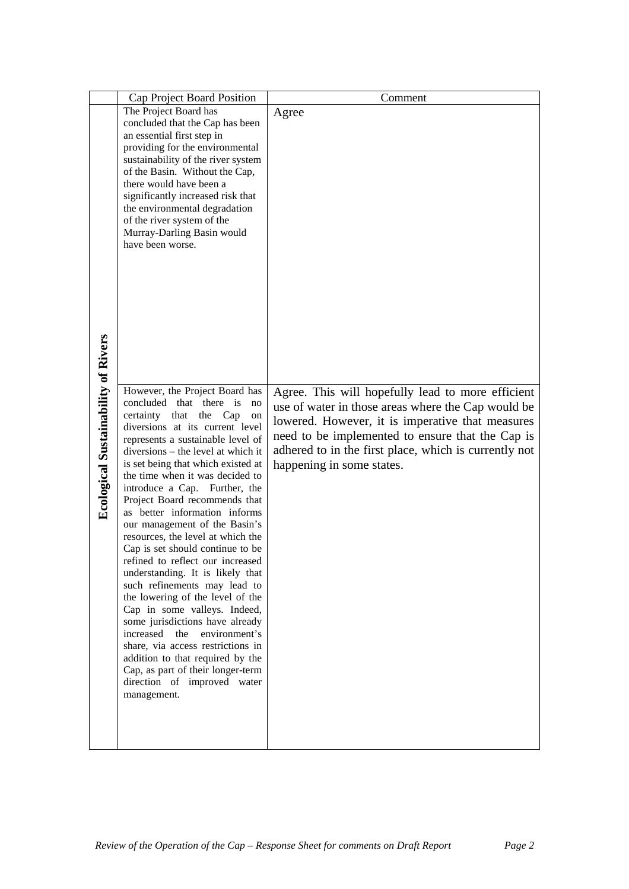|                                            | Cap Project Board Position                                            | Comment                                               |
|--------------------------------------------|-----------------------------------------------------------------------|-------------------------------------------------------|
|                                            | The Project Board has                                                 | Agree                                                 |
|                                            | concluded that the Cap has been                                       |                                                       |
|                                            | an essential first step in                                            |                                                       |
|                                            | providing for the environmental                                       |                                                       |
|                                            | sustainability of the river system<br>of the Basin. Without the Cap,  |                                                       |
|                                            | there would have been a                                               |                                                       |
|                                            | significantly increased risk that                                     |                                                       |
|                                            | the environmental degradation                                         |                                                       |
|                                            | of the river system of the                                            |                                                       |
|                                            | Murray-Darling Basin would                                            |                                                       |
|                                            | have been worse.                                                      |                                                       |
|                                            |                                                                       |                                                       |
|                                            |                                                                       |                                                       |
|                                            |                                                                       |                                                       |
|                                            |                                                                       |                                                       |
|                                            |                                                                       |                                                       |
|                                            |                                                                       |                                                       |
|                                            |                                                                       |                                                       |
|                                            |                                                                       |                                                       |
|                                            |                                                                       |                                                       |
|                                            | However, the Project Board has                                        | Agree. This will hopefully lead to more efficient     |
| <b>Ecological Sustainability of Rivers</b> | concluded that there is<br>no                                         | use of water in those areas where the Cap would be    |
|                                            | certainty<br>that<br>the Cap<br>on<br>diversions at its current level | lowered. However, it is imperative that measures      |
|                                            | represents a sustainable level of                                     | need to be implemented to ensure that the Cap is      |
|                                            | diversions – the level at which it                                    | adhered to in the first place, which is currently not |
|                                            | is set being that which existed at                                    | happening in some states.                             |
|                                            | the time when it was decided to                                       |                                                       |
|                                            | introduce a Cap. Further, the<br>Project Board recommends that        |                                                       |
|                                            | as better information informs                                         |                                                       |
|                                            | our management of the Basin's                                         |                                                       |
|                                            | resources, the level at which the                                     |                                                       |
|                                            | Cap is set should continue to be                                      |                                                       |
|                                            | refined to reflect our increased                                      |                                                       |
|                                            | understanding. It is likely that                                      |                                                       |
|                                            | such refinements may lead to<br>the lowering of the level of the      |                                                       |
|                                            | Cap in some valleys. Indeed,                                          |                                                       |
|                                            | some jurisdictions have already                                       |                                                       |
|                                            | increased<br>the<br>environment's                                     |                                                       |
|                                            | share, via access restrictions in                                     |                                                       |
|                                            | addition to that required by the                                      |                                                       |
|                                            | Cap, as part of their longer-term<br>direction of improved water      |                                                       |
|                                            | management.                                                           |                                                       |
|                                            |                                                                       |                                                       |
|                                            |                                                                       |                                                       |
|                                            |                                                                       |                                                       |
|                                            |                                                                       |                                                       |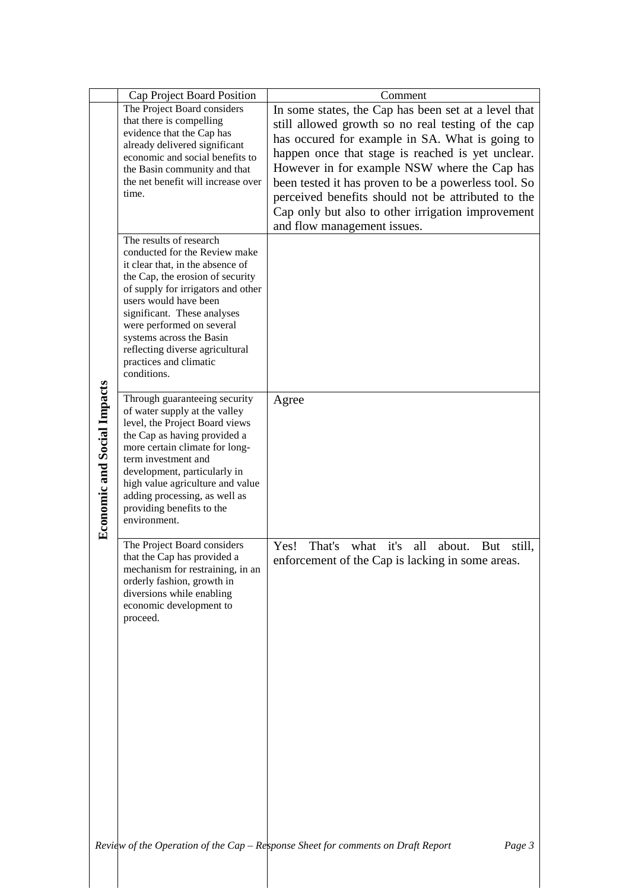|                                    | Cap Project Board Position                                                                                                                                                                                                                                                                                                                                          | Comment                                                                                                                                                                                                                                                                                                                                                                                                                                                              |
|------------------------------------|---------------------------------------------------------------------------------------------------------------------------------------------------------------------------------------------------------------------------------------------------------------------------------------------------------------------------------------------------------------------|----------------------------------------------------------------------------------------------------------------------------------------------------------------------------------------------------------------------------------------------------------------------------------------------------------------------------------------------------------------------------------------------------------------------------------------------------------------------|
| <b>Economic and Social Impacts</b> | The Project Board considers<br>that there is compelling<br>evidence that the Cap has<br>already delivered significant<br>economic and social benefits to<br>the Basin community and that<br>the net benefit will increase over<br>time.                                                                                                                             | In some states, the Cap has been set at a level that<br>still allowed growth so no real testing of the cap<br>has occured for example in SA. What is going to<br>happen once that stage is reached is yet unclear.<br>However in for example NSW where the Cap has<br>been tested it has proven to be a powerless tool. So<br>perceived benefits should not be attributed to the<br>Cap only but also to other irrigation improvement<br>and flow management issues. |
|                                    | The results of research<br>conducted for the Review make<br>it clear that, in the absence of<br>the Cap, the erosion of security<br>of supply for irrigators and other<br>users would have been<br>significant. These analyses<br>were performed on several<br>systems across the Basin<br>reflecting diverse agricultural<br>practices and climatic<br>conditions. |                                                                                                                                                                                                                                                                                                                                                                                                                                                                      |
|                                    | Through guaranteeing security<br>of water supply at the valley<br>level, the Project Board views<br>the Cap as having provided a<br>more certain climate for long-<br>term investment and<br>development, particularly in<br>high value agriculture and value<br>adding processing, as well as<br>providing benefits to the<br>environment.                         | Agree                                                                                                                                                                                                                                                                                                                                                                                                                                                                |
|                                    | The Project Board considers<br>that the Cap has provided a<br>mechanism for restraining, in an<br>orderly fashion, growth in<br>diversions while enabling<br>economic development to<br>proceed.                                                                                                                                                                    | what it's all<br>Yes!<br>That's<br>about.<br>But<br>still,<br>enforcement of the Cap is lacking in some areas.                                                                                                                                                                                                                                                                                                                                                       |
|                                    |                                                                                                                                                                                                                                                                                                                                                                     | Review of the Operation of the Cap - Response Sheet for comments on Draft Report<br>Page 3                                                                                                                                                                                                                                                                                                                                                                           |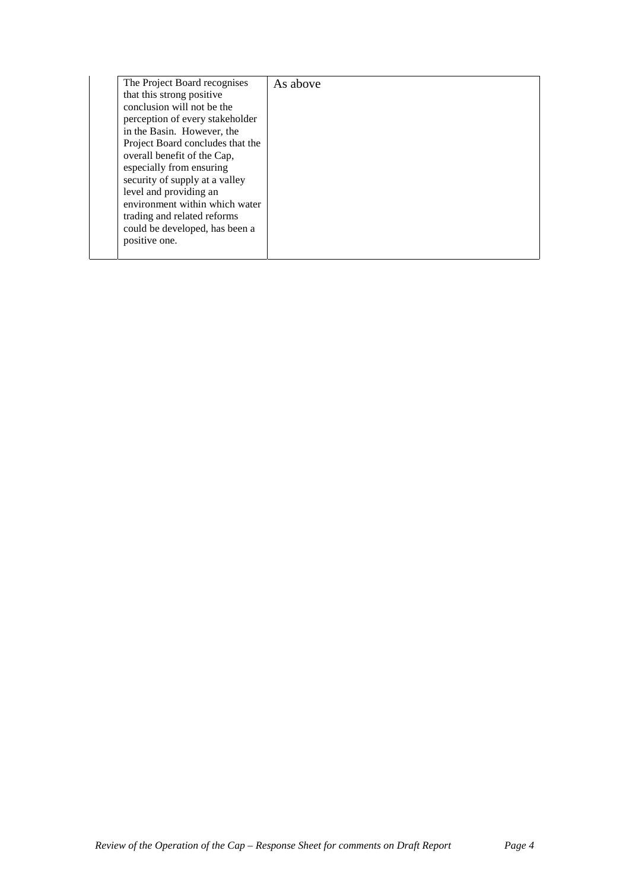| The Project Board recognises     | As above |
|----------------------------------|----------|
| that this strong positive        |          |
| conclusion will not be the       |          |
| perception of every stakeholder  |          |
| in the Basin. However, the       |          |
| Project Board concludes that the |          |
| overall benefit of the Cap,      |          |
| especially from ensuring         |          |
| security of supply at a valley   |          |
| level and providing an           |          |
| environment within which water   |          |
| trading and related reforms      |          |
| could be developed, has been a   |          |
| positive one.                    |          |
|                                  |          |
|                                  |          |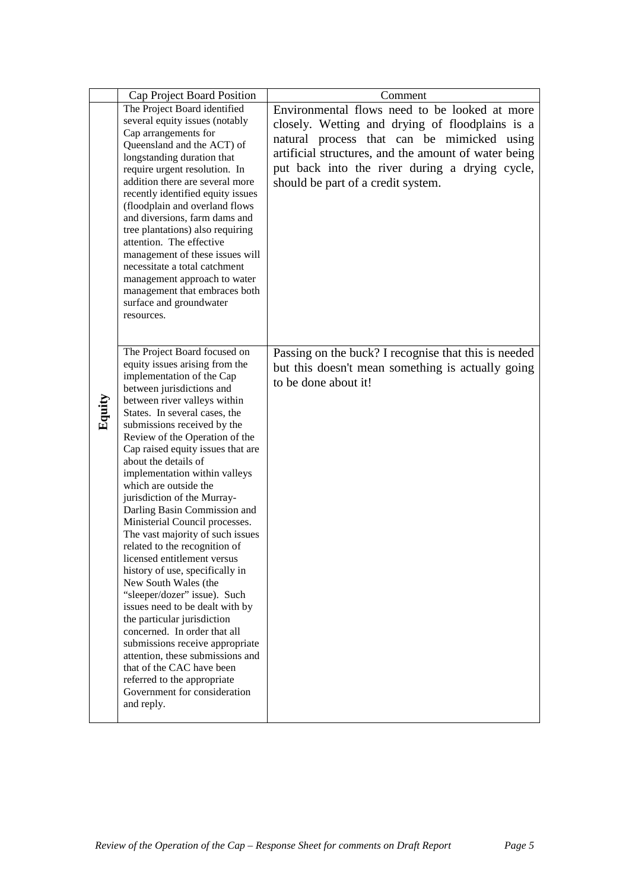|        | Cap Project Board Position                                       | Comment                                                                   |
|--------|------------------------------------------------------------------|---------------------------------------------------------------------------|
|        | The Project Board identified                                     | Environmental flows need to be looked at more                             |
|        | several equity issues (notably                                   | closely. Wetting and drying of floodplains is a                           |
|        | Cap arrangements for                                             | natural process that can be mimicked using                                |
|        | Queensland and the ACT) of                                       | artificial structures, and the amount of water being                      |
|        | longstanding duration that                                       | put back into the river during a drying cycle,                            |
|        | require urgent resolution. In<br>addition there are several more |                                                                           |
|        | recently identified equity issues                                | should be part of a credit system.                                        |
|        | (floodplain and overland flows                                   |                                                                           |
|        | and diversions, farm dams and                                    |                                                                           |
|        | tree plantations) also requiring                                 |                                                                           |
|        | attention. The effective                                         |                                                                           |
|        | management of these issues will<br>necessitate a total catchment |                                                                           |
|        | management approach to water                                     |                                                                           |
|        | management that embraces both                                    |                                                                           |
|        | surface and groundwater                                          |                                                                           |
|        | resources.                                                       |                                                                           |
|        |                                                                  |                                                                           |
|        | The Project Board focused on                                     |                                                                           |
|        | equity issues arising from the                                   | Passing on the buck? I recognise that this is needed                      |
|        | implementation of the Cap                                        | but this doesn't mean something is actually going<br>to be done about it! |
|        | between jurisdictions and                                        |                                                                           |
| Equity | between river valleys within                                     |                                                                           |
|        | States. In several cases, the                                    |                                                                           |
|        | submissions received by the<br>Review of the Operation of the    |                                                                           |
|        | Cap raised equity issues that are                                |                                                                           |
|        | about the details of                                             |                                                                           |
|        | implementation within valleys                                    |                                                                           |
|        | which are outside the                                            |                                                                           |
|        | jurisdiction of the Murray-                                      |                                                                           |
|        | Darling Basin Commission and<br>Ministerial Council processes.   |                                                                           |
|        | The vast majority of such issues                                 |                                                                           |
|        | related to the recognition of                                    |                                                                           |
|        | licensed entitlement versus                                      |                                                                           |
|        | history of use, specifically in                                  |                                                                           |
|        | New South Wales (the                                             |                                                                           |
|        | "sleeper/dozer" issue). Such                                     |                                                                           |
|        | issues need to be dealt with by<br>the particular jurisdiction   |                                                                           |
|        | concerned. In order that all                                     |                                                                           |
|        | submissions receive appropriate                                  |                                                                           |
|        | attention, these submissions and                                 |                                                                           |
|        | that of the CAC have been                                        |                                                                           |
|        | referred to the appropriate                                      |                                                                           |
|        | Government for consideration<br>and reply.                       |                                                                           |
|        |                                                                  |                                                                           |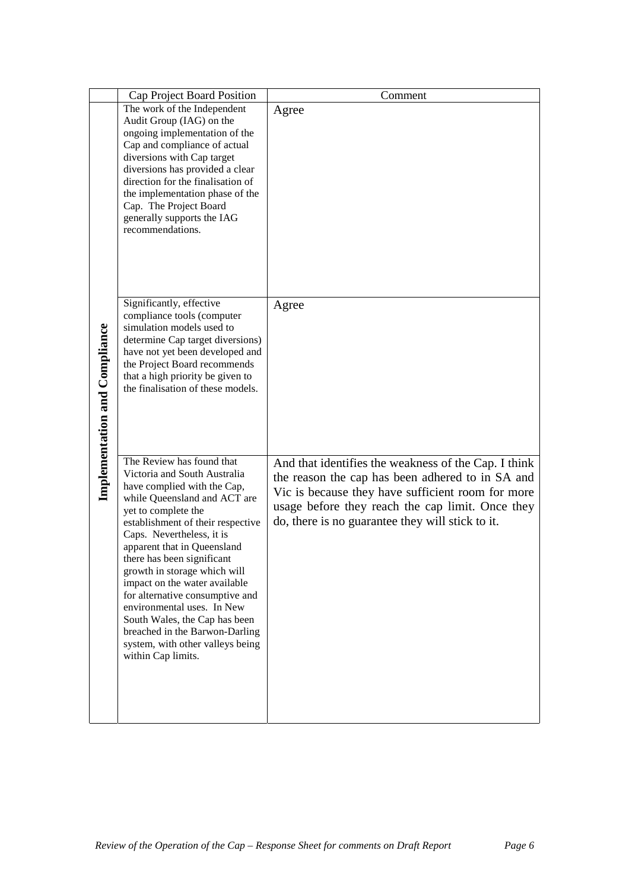|                                      | Cap Project Board Position                                          | Comment                                                                                                  |
|--------------------------------------|---------------------------------------------------------------------|----------------------------------------------------------------------------------------------------------|
|                                      | The work of the Independent                                         | Agree                                                                                                    |
|                                      | Audit Group (IAG) on the                                            |                                                                                                          |
|                                      | ongoing implementation of the<br>Cap and compliance of actual       |                                                                                                          |
|                                      | diversions with Cap target                                          |                                                                                                          |
|                                      | diversions has provided a clear                                     |                                                                                                          |
|                                      | direction for the finalisation of                                   |                                                                                                          |
|                                      | the implementation phase of the<br>Cap. The Project Board           |                                                                                                          |
|                                      | generally supports the IAG                                          |                                                                                                          |
|                                      | recommendations.                                                    |                                                                                                          |
|                                      |                                                                     |                                                                                                          |
|                                      |                                                                     |                                                                                                          |
|                                      |                                                                     |                                                                                                          |
|                                      | Significantly, effective                                            | Agree                                                                                                    |
|                                      | compliance tools (computer                                          |                                                                                                          |
|                                      | simulation models used to                                           |                                                                                                          |
|                                      | determine Cap target diversions)<br>have not yet been developed and |                                                                                                          |
|                                      | the Project Board recommends                                        |                                                                                                          |
|                                      | that a high priority be given to                                    |                                                                                                          |
|                                      | the finalisation of these models.                                   |                                                                                                          |
|                                      |                                                                     |                                                                                                          |
|                                      |                                                                     |                                                                                                          |
|                                      |                                                                     |                                                                                                          |
| <b>Implementation and Compliance</b> | The Review has found that<br>Victoria and South Australia           | And that identifies the weakness of the Cap. I think<br>the reason the cap has been adhered to in SA and |
|                                      | have complied with the Cap,                                         | Vic is because they have sufficient room for more                                                        |
|                                      | while Queensland and ACT are<br>yet to complete the                 | usage before they reach the cap limit. Once they                                                         |
|                                      | establishment of their respective                                   | do, there is no guarantee they will stick to it.                                                         |
|                                      | Caps. Nevertheless, it is                                           |                                                                                                          |
|                                      | apparent that in Queensland<br>there has been significant           |                                                                                                          |
|                                      | growth in storage which will                                        |                                                                                                          |
|                                      | impact on the water available                                       |                                                                                                          |
|                                      | for alternative consumptive and<br>environmental uses. In New       |                                                                                                          |
|                                      | South Wales, the Cap has been                                       |                                                                                                          |
|                                      | breached in the Barwon-Darling                                      |                                                                                                          |
|                                      | system, with other valleys being<br>within Cap limits.              |                                                                                                          |
|                                      |                                                                     |                                                                                                          |
|                                      |                                                                     |                                                                                                          |
|                                      |                                                                     |                                                                                                          |
|                                      |                                                                     |                                                                                                          |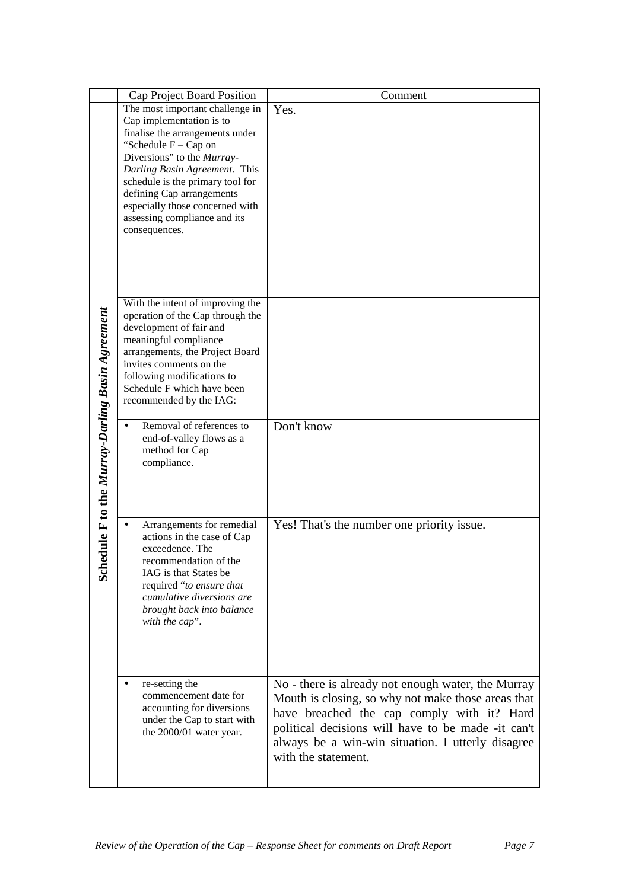|                                              | Cap Project Board Position                                                                                                                                                                                                                                                                                                                   | Comment                                                                                                                                                                                                                                                                                  |
|----------------------------------------------|----------------------------------------------------------------------------------------------------------------------------------------------------------------------------------------------------------------------------------------------------------------------------------------------------------------------------------------------|------------------------------------------------------------------------------------------------------------------------------------------------------------------------------------------------------------------------------------------------------------------------------------------|
| dule F to the Murray-Darling Basin Agreement | The most important challenge in<br>Cap implementation is to<br>finalise the arrangements under<br>"Schedule $F - Cap$ on<br>Diversions" to the Murray-<br>Darling Basin Agreement. This<br>schedule is the primary tool for<br>defining Cap arrangements<br>especially those concerned with<br>assessing compliance and its<br>consequences. | Yes.                                                                                                                                                                                                                                                                                     |
|                                              | With the intent of improving the<br>operation of the Cap through the<br>development of fair and<br>meaningful compliance<br>arrangements, the Project Board<br>invites comments on the<br>following modifications to<br>Schedule F which have been<br>recommended by the IAG:                                                                |                                                                                                                                                                                                                                                                                          |
|                                              | Removal of references to<br>end-of-valley flows as a<br>method for Cap<br>compliance.                                                                                                                                                                                                                                                        | Don't know                                                                                                                                                                                                                                                                               |
| Sch                                          | Arrangements for remedial<br>$\bullet$<br>actions in the case of Cap<br>exceedence. The<br>recommendation of the<br>IAG is that States be<br>required "to ensure that<br>cumulative diversions are<br>brought back into balance<br>with the cap".                                                                                            | Yes! That's the number one priority issue.                                                                                                                                                                                                                                               |
|                                              | re-setting the<br>commencement date for<br>accounting for diversions<br>under the Cap to start with<br>the 2000/01 water year.                                                                                                                                                                                                               | No - there is already not enough water, the Murray<br>Mouth is closing, so why not make those areas that<br>have breached the cap comply with it? Hard<br>political decisions will have to be made -it can't<br>always be a win-win situation. I utterly disagree<br>with the statement. |